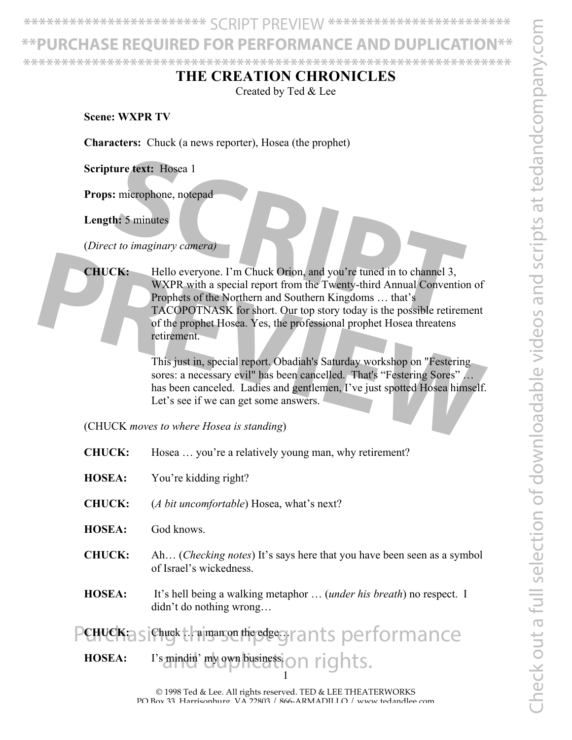Check out a full selection of downloadable videos and scripts at tedandcompany.com Theck out a full selection of downloadable videos and scripts at tedandcompany.co

**\*\*\*\*\*\*\*\*\*\*\*\*\*\*\*\*\*\*\*\*\*\*\*\*** SCRIPT PREVIEW **\*\*\*\*\*\*\*\*\*\*\*\*\*\*\*\*\*\*\*\*\*\*\*\***

PURCHASE REQUIRED FOR PERFORMANCE AND DUPLIC **\*\*\*\*\*\*\*\*\*\*\*\*\*\*\*\*\*\*\*\*\*\*\*\*\*\*\*\*\*\*\*\*\*\*\*\*\*\*\*\*\*\*\*\*\*\*\*\*\*\*\*\*\*\*\*\*\*\*\*\*\*\*\*\***

## **THE CREATION CHRONICLES**

Created by Ted & Lee

**Scene: WXPR TV**

**Characters:** Chuck (a news reporter), Hosea (the prophet)

**Scripture text:** Hosea 1

**Props:** microphone, notepad

**Length:** 5 minutes

(*Direct to imaginary camera)*

**CHUCK:** Hello everyone. I'm Chuck Orion, and you're tuned in to channel 3, WXPR with a special report from the Twenty-third Annual Convention of Prophets of the Northern and Southern Kingdoms … that's TACOPOTNASK for short. Our top story today is the possible retirement of the prophet Hosea. Yes, the professional prophet Hosea threatens retirement. **SCRIPT EXECT:**<br>
Interophone, notepad<br> **SCRIPT EXECT:**<br>
Intervention, and you're tuned in to channel 3,<br> **SCRIPT INTER AND A SCRIPT AND A SCRIPT AND A SCRIPT AND CONVERT AND Prophets of the Northern and Southern Kingdoms . PROFICE:** Hello everyone. I'm Chuck Orion, and you're tuned in to channel 3,<br>
WXPR with a special report from the Twenty-third Annual Convention of<br>
Prophets of the Northern and Southern Kingdoms ... that's<br>
TACOPOTNASK f

This just in, special report. Obadiah's Saturday workshop on "Festering sores: a necessary evil" has been cancelled. That's "Festering Sores" … has been canceled. Ladies and gentlemen, I've just spotted Hosea himself. Let's see if we can get some answers.

(CHUCK *moves to where Hosea is standing*)

- **CHUCK:** Hosea … you're a relatively young man, why retirement?
- **HOSEA:** You're kidding right?
- **CHUCK:** (*A bit uncomfortable*) Hosea, what's next?
- **HOSEA:** God knows.
- **CHUCK:** Ah… (*Checking notes*) It's says here that you have been seen as a symbol of Israel's wickedness.
- **HOSEA:** It's hell being a walking metaphor … (*under his breath*) no respect. I didn't do nothing wrong…

PCHUCK:asiChuckt.haimanson this desegrants performance

1 HOSEA: I's mindin' my own businession rights.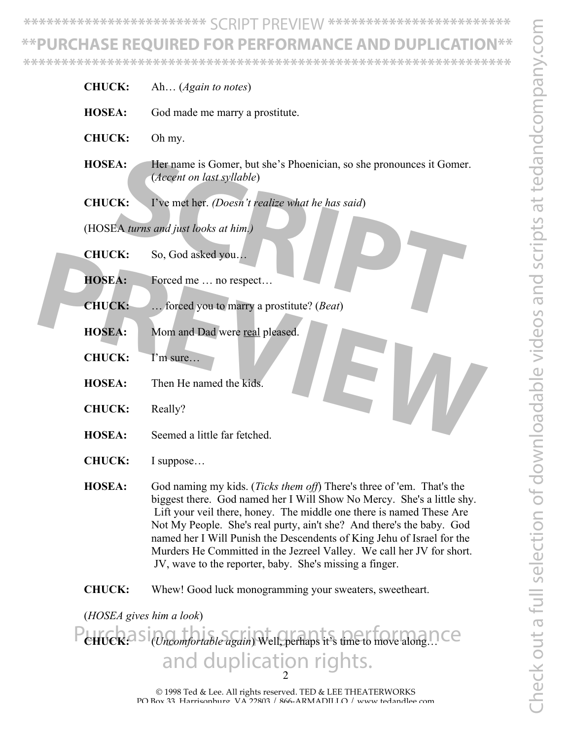Check out a full selection of downloadable videos and scripts at tedandcompany.com Check out a full selection of downloadable videos and scripts at tedandcompany.con

**\*\*\*\*\*\*\*\*\*\*\*\*\*\*\*\*\*\*\*\*\*\*\*\*** SCRIPT PREVIEW **\*\*\*\*\*\*\*\*\*\*\*\*\*\*\*\*\*\*\*\*\*\*\*\***

## **\*\*PURCHASE REQUIRED FOR PERFORMANCE AND DUPLICATION\*\***

**\*\*\*\*\*\*\*\*\*\*\*\*\*\*\*\*\*\*\*\*\*\*\*\*\*\*\*\*\*\*\*\*\*\*\*\*\*\*\*\*\*\*\*\*\*\*\*\*\*\*\*\*\*\*\*\*\*\*\*\*\*\*\*\***

|  | <b>CHUCK:</b> | Ah ( <i>Again to notes</i> )                                                                                                                                                                                                            |
|--|---------------|-----------------------------------------------------------------------------------------------------------------------------------------------------------------------------------------------------------------------------------------|
|  | <b>HOSEA:</b> | God made me marry a prostitute.                                                                                                                                                                                                         |
|  | <b>CHUCK:</b> | Oh my.                                                                                                                                                                                                                                  |
|  | <b>HOSEA:</b> | Her name is Gomer, but she's Phoenician, so she pronounces it Gomer.<br>(Accent on last syllable)                                                                                                                                       |
|  | <b>CHUCK:</b> | I've met her. (Doesn't realize what he has said)                                                                                                                                                                                        |
|  |               | (HOSEA turns and just looks at him.)                                                                                                                                                                                                    |
|  | <b>CHUCK:</b> | So, God asked you                                                                                                                                                                                                                       |
|  | <b>HOSEA:</b> | Forced me  no respect                                                                                                                                                                                                                   |
|  | <b>CHUCK:</b> | forced you to marry a prostitute? ( <i>Beat</i> )                                                                                                                                                                                       |
|  | <b>HOSEA:</b> | Mom and Dad were real pleased.                                                                                                                                                                                                          |
|  | <b>CHUCK:</b> | I'm sure                                                                                                                                                                                                                                |
|  | <b>HOSEA:</b> | Then He named the kids.                                                                                                                                                                                                                 |
|  | <b>CHUCK:</b> | Really?                                                                                                                                                                                                                                 |
|  | <b>HOSEA:</b> | Seemed a little far fetched.                                                                                                                                                                                                            |
|  | <b>CHUCK:</b> | I suppose                                                                                                                                                                                                                               |
|  | <b>HOSEA:</b> | God naming my kids. ( <i>Ticks them off</i> ) There's three of 'em. That's the<br>biggest there. God named her I Will Show No Mercy. She's a little shy.<br>Lift your you there honey. The middle one there is named These $\Lambda$ re |

If there, honey. The middle one there is named The Not My People. She's real purty, ain't she? And there's the baby. God named her I Will Punish the Descendents of King Jehu of Israel for the Murders He Committed in the Jezreel Valley. We call her JV for short. JV, wave to the reporter, baby. She's missing a finger.

**CHUCK:** Whew! Good luck monogramming your sweaters, sweetheart.

(*HOSEA gives him a look*)

2 Purchasi<sub>(Uncomfortable again) Well, perhaps it's time to move along…Ce</sub> and duplication rights.

> © 1998 Ted & Lee. All rights reserved. TED & LEE THEATERWORKS PO Box 33, Harrisonburg, VA 22803 / 866-ARMADILLO / www.tedandlee.com